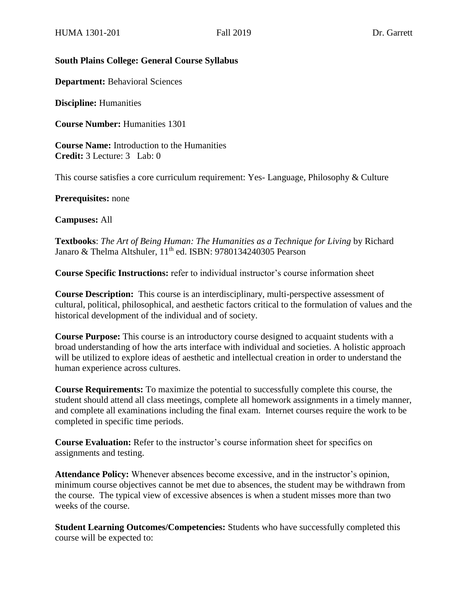#### **South Plains College: General Course Syllabus**

**Department:** Behavioral Sciences

**Discipline:** Humanities

**Course Number:** Humanities 1301

**Course Name:** Introduction to the Humanities **Credit:** 3 Lecture: 3 Lab: 0

This course satisfies a core curriculum requirement: Yes- Language, Philosophy & Culture

**Prerequisites:** none

**Campuses:** All

**Textbooks**: *The Art of Being Human: The Humanities as a Technique for Living* by Richard Janaro & Thelma Altshuler, 11<sup>th</sup> ed. ISBN: 9780134240305 Pearson

**Course Specific Instructions:** refer to individual instructor's course information sheet

**Course Description:** This course is an interdisciplinary, multi-perspective assessment of cultural, political, philosophical, and aesthetic factors critical to the formulation of values and the historical development of the individual and of society.

**Course Purpose:** This course is an introductory course designed to acquaint students with a broad understanding of how the arts interface with individual and societies. A holistic approach will be utilized to explore ideas of aesthetic and intellectual creation in order to understand the human experience across cultures.

**Course Requirements:** To maximize the potential to successfully complete this course, the student should attend all class meetings, complete all homework assignments in a timely manner, and complete all examinations including the final exam. Internet courses require the work to be completed in specific time periods.

**Course Evaluation:** Refer to the instructor's course information sheet for specifics on assignments and testing.

**Attendance Policy:** Whenever absences become excessive, and in the instructor's opinion, minimum course objectives cannot be met due to absences, the student may be withdrawn from the course. The typical view of excessive absences is when a student misses more than two weeks of the course.

**Student Learning Outcomes/Competencies:** Students who have successfully completed this course will be expected to: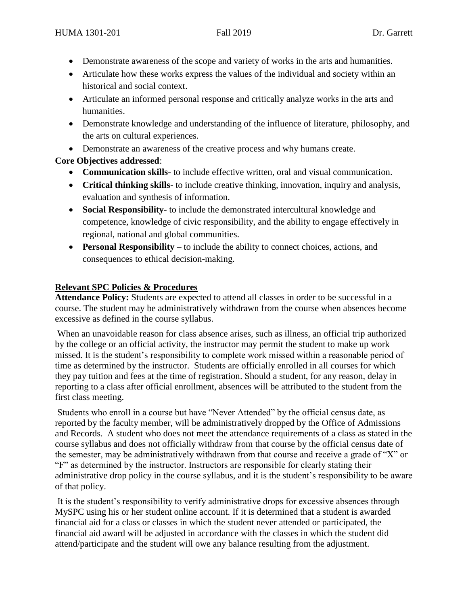- Demonstrate awareness of the scope and variety of works in the arts and humanities.
- Articulate how these works express the values of the individual and society within an historical and social context.
- Articulate an informed personal response and critically analyze works in the arts and humanities.
- Demonstrate knowledge and understanding of the influence of literature, philosophy, and the arts on cultural experiences.
- Demonstrate an awareness of the creative process and why humans create.

# **Core Objectives addressed**:

- **Communication skills** to include effective written, oral and visual communication.
- **Critical thinking skills** to include creative thinking, innovation, inquiry and analysis, evaluation and synthesis of information.
- **Social Responsibility** to include the demonstrated intercultural knowledge and competence, knowledge of civic responsibility, and the ability to engage effectively in regional, national and global communities.
- **Personal Responsibility**  to include the ability to connect choices, actions, and consequences to ethical decision-making.

# **Relevant SPC Policies & Procedures**

**Attendance Policy:** Students are expected to attend all classes in order to be successful in a course. The student may be administratively withdrawn from the course when absences become excessive as defined in the course syllabus.

When an unavoidable reason for class absence arises, such as illness, an official trip authorized by the college or an official activity, the instructor may permit the student to make up work missed. It is the student's responsibility to complete work missed within a reasonable period of time as determined by the instructor. Students are officially enrolled in all courses for which they pay tuition and fees at the time of registration. Should a student, for any reason, delay in reporting to a class after official enrollment, absences will be attributed to the student from the first class meeting.

Students who enroll in a course but have "Never Attended" by the official census date, as reported by the faculty member, will be administratively dropped by the Office of Admissions and Records. A student who does not meet the attendance requirements of a class as stated in the course syllabus and does not officially withdraw from that course by the official census date of the semester, may be administratively withdrawn from that course and receive a grade of "X" or "F" as determined by the instructor. Instructors are responsible for clearly stating their administrative drop policy in the course syllabus, and it is the student's responsibility to be aware of that policy.

It is the student's responsibility to verify administrative drops for excessive absences through MySPC using his or her student online account. If it is determined that a student is awarded financial aid for a class or classes in which the student never attended or participated, the financial aid award will be adjusted in accordance with the classes in which the student did attend/participate and the student will owe any balance resulting from the adjustment.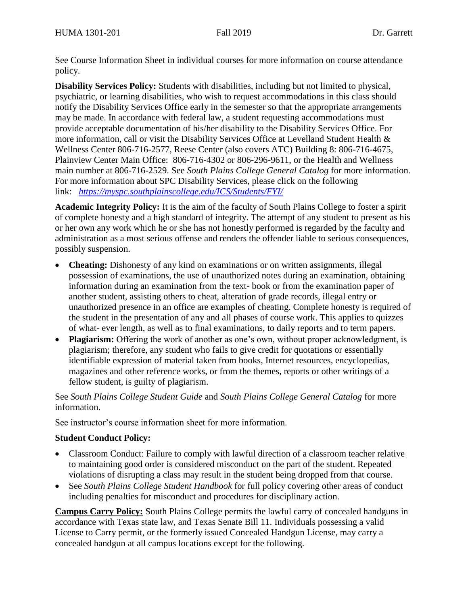See Course Information Sheet in individual courses for more information on course attendance policy.

**Disability Services Policy:** Students with disabilities, including but not limited to physical, psychiatric, or learning disabilities, who wish to request accommodations in this class should notify the Disability Services Office early in the semester so that the appropriate arrangements may be made. In accordance with federal law, a student requesting accommodations must provide acceptable documentation of his/her disability to the Disability Services Office. For more information, call or visit the Disability Services Office at Levelland Student Health & Wellness Center 806-716-2577, Reese Center (also covers ATC) Building 8: 806-716-4675, Plainview Center Main Office: 806-716-4302 or 806-296-9611, or the Health and Wellness main number at 806-716-2529. See *South Plains College General Catalog* for more information. For more information about SPC Disability Services, please click on the following link: *<https://myspc.southplainscollege.edu/ICS/Students/FYI/>*

**Academic Integrity Policy:** It is the aim of the faculty of South Plains College to foster a spirit of complete honesty and a high standard of integrity. The attempt of any student to present as his or her own any work which he or she has not honestly performed is regarded by the faculty and administration as a most serious offense and renders the offender liable to serious consequences, possibly suspension.

- **Cheating:** Dishonesty of any kind on examinations or on written assignments, illegal possession of examinations, the use of unauthorized notes during an examination, obtaining information during an examination from the text- book or from the examination paper of another student, assisting others to cheat, alteration of grade records, illegal entry or unauthorized presence in an office are examples of cheating. Complete honesty is required of the student in the presentation of any and all phases of course work. This applies to quizzes of what- ever length, as well as to final examinations, to daily reports and to term papers.
- **Plagiarism:** Offering the work of another as one's own, without proper acknowledgment, is plagiarism; therefore, any student who fails to give credit for quotations or essentially identifiable expression of material taken from books, Internet resources, encyclopedias, magazines and other reference works, or from the themes, reports or other writings of a fellow student, is guilty of plagiarism.

See *South Plains College Student Guide* and *South Plains College General Catalog* for more information.

See instructor's course information sheet for more information.

### **Student Conduct Policy:**

- Classroom Conduct: Failure to comply with lawful direction of a classroom teacher relative to maintaining good order is considered misconduct on the part of the student. Repeated violations of disrupting a class may result in the student being dropped from that course.
- See *South Plains College Student Handbook* for full policy covering other areas of conduct including penalties for misconduct and procedures for disciplinary action.

**Campus Carry Policy:** South Plains College permits the lawful carry of concealed handguns in accordance with Texas state law, and Texas Senate Bill 11. Individuals possessing a valid License to Carry permit, or the formerly issued Concealed Handgun License, may carry a concealed handgun at all campus locations except for the following.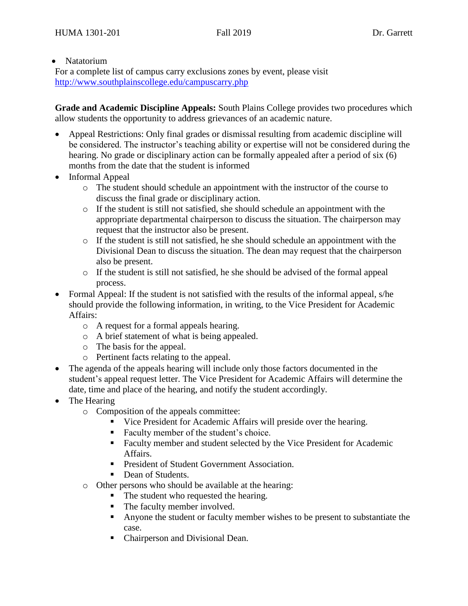#### • Natatorium

For a complete list of campus carry exclusions zones by event, please visit <http://www.southplainscollege.edu/campuscarry.php>

**Grade and Academic Discipline Appeals:** South Plains College provides two procedures which allow students the opportunity to address grievances of an academic nature.

- Appeal Restrictions: Only final grades or dismissal resulting from academic discipline will be considered. The instructor's teaching ability or expertise will not be considered during the hearing. No grade or disciplinary action can be formally appealed after a period of six (6) months from the date that the student is informed
- Informal Appeal
	- o The student should schedule an appointment with the instructor of the course to discuss the final grade or disciplinary action.
	- $\circ$  If the student is still not satisfied, she should schedule an appointment with the appropriate departmental chairperson to discuss the situation. The chairperson may request that the instructor also be present.
	- o If the student is still not satisfied, he she should schedule an appointment with the Divisional Dean to discuss the situation. The dean may request that the chairperson also be present.
	- $\circ$  If the student is still not satisfied, he she should be advised of the formal appeal process.
- Formal Appeal: If the student is not satisfied with the results of the informal appeal, s/he should provide the following information, in writing, to the Vice President for Academic Affairs:
	- o A request for a formal appeals hearing.
	- o A brief statement of what is being appealed.
	- o The basis for the appeal.
	- o Pertinent facts relating to the appeal.
- The agenda of the appeals hearing will include only those factors documented in the student's appeal request letter. The Vice President for Academic Affairs will determine the date, time and place of the hearing, and notify the student accordingly.
- The Hearing
	- o Composition of the appeals committee:
		- Vice President for Academic Affairs will preside over the hearing.
		- Faculty member of the student's choice.
		- Faculty member and student selected by the Vice President for Academic Affairs.
		- **President of Student Government Association.**
		- Dean of Students.
	- o Other persons who should be available at the hearing:
		- The student who requested the hearing.
		- The faculty member involved.
		- Anyone the student or faculty member wishes to be present to substantiate the case.
		- Chairperson and Divisional Dean.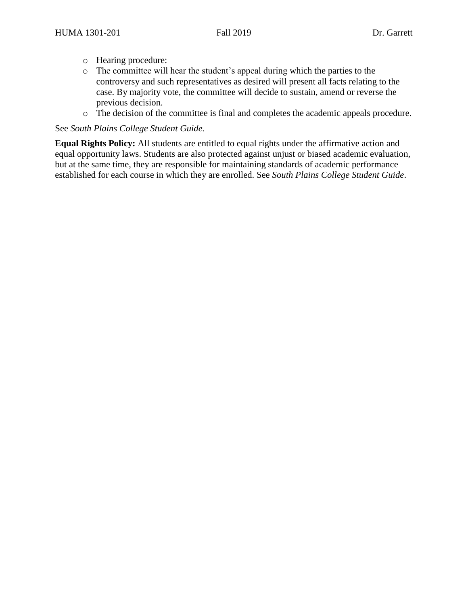- o Hearing procedure:
- o The committee will hear the student's appeal during which the parties to the controversy and such representatives as desired will present all facts relating to the case. By majority vote, the committee will decide to sustain, amend or reverse the previous decision.
- o The decision of the committee is final and completes the academic appeals procedure.

#### See *South Plains College Student Guide.*

**Equal Rights Policy:** All students are entitled to equal rights under the affirmative action and equal opportunity laws. Students are also protected against unjust or biased academic evaluation, but at the same time, they are responsible for maintaining standards of academic performance established for each course in which they are enrolled. See *South Plains College Student Guide*.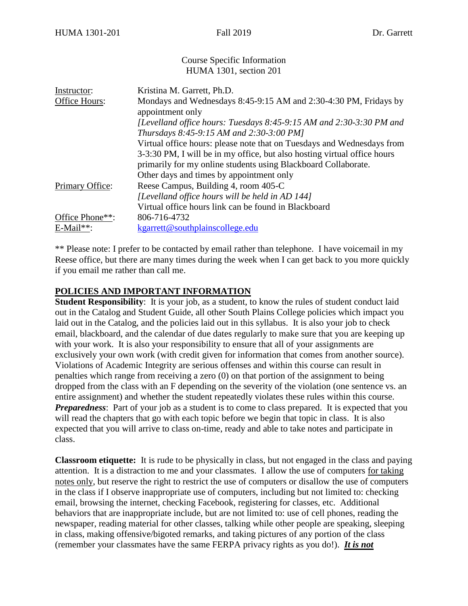#### Course Specific Information HUMA 1301, section 201

| Instructor:     | Kristina M. Garrett, Ph.D.                                               |
|-----------------|--------------------------------------------------------------------------|
| Office Hours:   | Mondays and Wednesdays 8:45-9:15 AM and 2:30-4:30 PM, Fridays by         |
|                 | appointment only                                                         |
|                 | [Levelland office hours: Tuesdays 8:45-9:15 AM and 2:30-3:30 PM and      |
|                 | Thursdays 8:45-9:15 AM and 2:30-3:00 PM]                                 |
|                 | Virtual office hours: please note that on Tuesdays and Wednesdays from   |
|                 | 3-3:30 PM, I will be in my office, but also hosting virtual office hours |
|                 | primarily for my online students using Blackboard Collaborate.           |
|                 | Other days and times by appointment only                                 |
| Primary Office: | Reese Campus, Building 4, room 405-C                                     |
|                 | [Levelland office hours will be held in AD 144]                          |
|                 | Virtual office hours link can be found in Blackboard                     |
| Office Phone**: | 806-716-4732                                                             |
| $E$ -Mail**:    | kgarrett@southplainscollege.edu                                          |

\*\* Please note: I prefer to be contacted by email rather than telephone. I have voicemail in my Reese office, but there are many times during the week when I can get back to you more quickly if you email me rather than call me.

#### **POLICIES AND IMPORTANT INFORMATION**

**Student Responsibility:** It is your job, as a student, to know the rules of student conduct laid out in the Catalog and Student Guide, all other South Plains College policies which impact you laid out in the Catalog, and the policies laid out in this syllabus. It is also your job to check email, blackboard, and the calendar of due dates regularly to make sure that you are keeping up with your work. It is also your responsibility to ensure that all of your assignments are exclusively your own work (with credit given for information that comes from another source). Violations of Academic Integrity are serious offenses and within this course can result in penalties which range from receiving a zero (0) on that portion of the assignment to being dropped from the class with an F depending on the severity of the violation (one sentence vs. an entire assignment) and whether the student repeatedly violates these rules within this course. *Preparedness*: Part of your job as a student is to come to class prepared. It is expected that you will read the chapters that go with each topic before we begin that topic in class. It is also expected that you will arrive to class on-time, ready and able to take notes and participate in class.

**Classroom etiquette:** It is rude to be physically in class, but not engaged in the class and paying attention. It is a distraction to me and your classmates. I allow the use of computers for taking notes only, but reserve the right to restrict the use of computers or disallow the use of computers in the class if I observe inappropriate use of computers, including but not limited to: checking email, browsing the internet, checking Facebook, registering for classes, etc. Additional behaviors that are inappropriate include, but are not limited to: use of cell phones, reading the newspaper, reading material for other classes, talking while other people are speaking, sleeping in class, making offensive/bigoted remarks, and taking pictures of any portion of the class (remember your classmates have the same FERPA privacy rights as you do!). *It is not*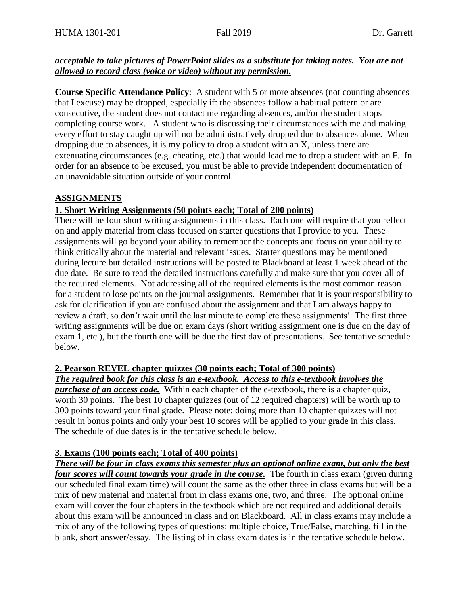### *acceptable to take pictures of PowerPoint slides as a substitute for taking notes. You are not allowed to record class (voice or video) without my permission.*

**Course Specific Attendance Policy**: A student with 5 or more absences (not counting absences that I excuse) may be dropped, especially if: the absences follow a habitual pattern or are consecutive, the student does not contact me regarding absences, and/or the student stops completing course work. A student who is discussing their circumstances with me and making every effort to stay caught up will not be administratively dropped due to absences alone. When dropping due to absences, it is my policy to drop a student with an X, unless there are extenuating circumstances (e.g. cheating, etc.) that would lead me to drop a student with an F. In order for an absence to be excused, you must be able to provide independent documentation of an unavoidable situation outside of your control.

# **ASSIGNMENTS**

# **1. Short Writing Assignments (50 points each; Total of 200 points)**

There will be four short writing assignments in this class. Each one will require that you reflect on and apply material from class focused on starter questions that I provide to you. These assignments will go beyond your ability to remember the concepts and focus on your ability to think critically about the material and relevant issues. Starter questions may be mentioned during lecture but detailed instructions will be posted to Blackboard at least 1 week ahead of the due date. Be sure to read the detailed instructions carefully and make sure that you cover all of the required elements. Not addressing all of the required elements is the most common reason for a student to lose points on the journal assignments. Remember that it is your responsibility to ask for clarification if you are confused about the assignment and that I am always happy to review a draft, so don't wait until the last minute to complete these assignments! The first three writing assignments will be due on exam days (short writing assignment one is due on the day of exam 1, etc.), but the fourth one will be due the first day of presentations. See tentative schedule below.

### **2. Pearson REVEL chapter quizzes (30 points each; Total of 300 points)**

# *The required book for this class is an e-textbook. Access to this e-textbook involves the*

*purchase of an access code.* Within each chapter of the e-textbook, there is a chapter quiz, worth 30 points. The best 10 chapter quizzes (out of 12 required chapters) will be worth up to 300 points toward your final grade. Please note: doing more than 10 chapter quizzes will not result in bonus points and only your best 10 scores will be applied to your grade in this class. The schedule of due dates is in the tentative schedule below.

# **3. Exams (100 points each; Total of 400 points)**

# *There will be four in class exams this semester plus an optional online exam, but only the best*

*four scores will count towards your grade in the course.* The fourth in class exam (given during our scheduled final exam time) will count the same as the other three in class exams but will be a mix of new material and material from in class exams one, two, and three. The optional online exam will cover the four chapters in the textbook which are not required and additional details about this exam will be announced in class and on Blackboard. All in class exams may include a mix of any of the following types of questions: multiple choice, True/False, matching, fill in the blank, short answer/essay. The listing of in class exam dates is in the tentative schedule below.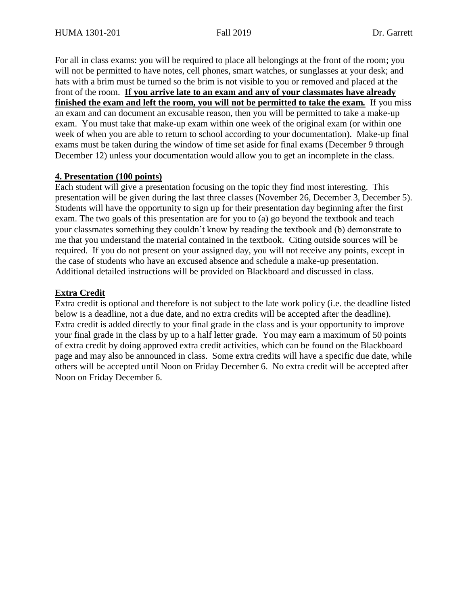For all in class exams: you will be required to place all belongings at the front of the room; you will not be permitted to have notes, cell phones, smart watches, or sunglasses at your desk; and hats with a brim must be turned so the brim is not visible to you or removed and placed at the front of the room. **If you arrive late to an exam and any of your classmates have already finished the exam and left the room, you will not be permitted to take the exam***.* If you miss an exam and can document an excusable reason, then you will be permitted to take a make-up exam. You must take that make-up exam within one week of the original exam (or within one week of when you are able to return to school according to your documentation). Make-up final exams must be taken during the window of time set aside for final exams (December 9 through December 12) unless your documentation would allow you to get an incomplete in the class.

#### **4. Presentation (100 points)**

Each student will give a presentation focusing on the topic they find most interesting. This presentation will be given during the last three classes (November 26, December 3, December 5). Students will have the opportunity to sign up for their presentation day beginning after the first exam. The two goals of this presentation are for you to (a) go beyond the textbook and teach your classmates something they couldn't know by reading the textbook and (b) demonstrate to me that you understand the material contained in the textbook. Citing outside sources will be required. If you do not present on your assigned day, you will not receive any points, except in the case of students who have an excused absence and schedule a make-up presentation. Additional detailed instructions will be provided on Blackboard and discussed in class.

#### **Extra Credit**

Extra credit is optional and therefore is not subject to the late work policy (i.e. the deadline listed below is a deadline, not a due date, and no extra credits will be accepted after the deadline). Extra credit is added directly to your final grade in the class and is your opportunity to improve your final grade in the class by up to a half letter grade. You may earn a maximum of 50 points of extra credit by doing approved extra credit activities, which can be found on the Blackboard page and may also be announced in class. Some extra credits will have a specific due date, while others will be accepted until Noon on Friday December 6. No extra credit will be accepted after Noon on Friday December 6.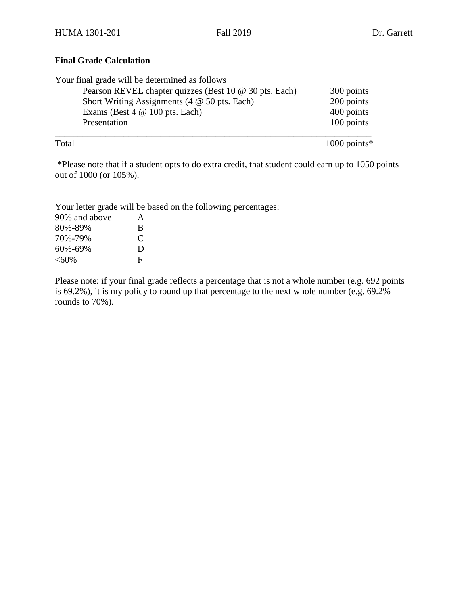# **Final Grade Calculation**

| Your final grade will be determined as follows               |            |
|--------------------------------------------------------------|------------|
| Pearson REVEL chapter quizzes (Best 10 @ 30 pts. Each)       | 300 points |
| Short Writing Assignments $(4 \otimes 50 \text{ pts.}$ Each) | 200 points |
| Exams (Best $4 \& 100$ pts. Each)                            | 400 points |
| Presentation                                                 | 100 points |
|                                                              |            |

Total 1000 points\*

\*Please note that if a student opts to do extra credit, that student could earn up to 1050 points out of 1000 (or 105%).

Your letter grade will be based on the following percentages:

| 90% and above | A           |
|---------------|-------------|
| 80%-89%       | B           |
| 70%-79%       | $\mathbf C$ |
| 60%-69%       | Ð           |
| $< 60\%$      | F           |

Please note: if your final grade reflects a percentage that is not a whole number (e.g. 692 points is 69.2%), it is my policy to round up that percentage to the next whole number (e.g. 69.2% rounds to 70%).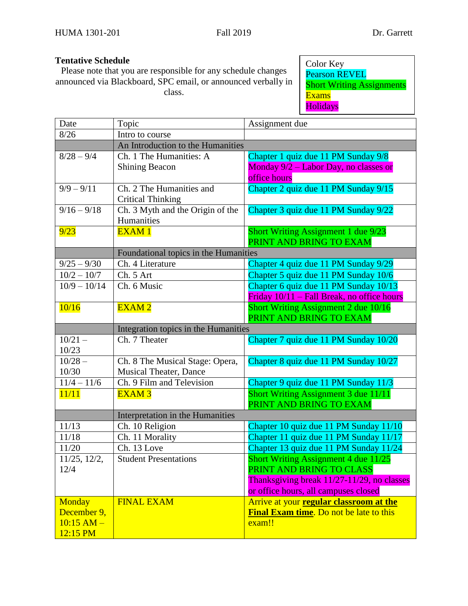# **Tentative Schedule**

Please note that you are responsible for any schedule changes announced via Blackboard, SPC email, or announced verbally in class.

Color Key Pearson REVEL **Short Writing Assignments** Exams Holidays

| Date             | Topic                                 | Assignment due                             |  |
|------------------|---------------------------------------|--------------------------------------------|--|
| 8/26             | Intro to course                       |                                            |  |
|                  | An Introduction to the Humanities     |                                            |  |
| $8/28 - 9/4$     | Ch. 1 The Humanities: A               | Chapter 1 quiz due 11 PM Sunday 9/8        |  |
|                  | <b>Shining Beacon</b>                 | Monday 9/2 - Labor Day, no classes or      |  |
|                  |                                       | office hours                               |  |
| $9/9 - 9/11$     | Ch. 2 The Humanities and              | Chapter 2 quiz due 11 PM Sunday 9/15       |  |
|                  | <b>Critical Thinking</b>              |                                            |  |
| $9/16 - 9/18$    | Ch. 3 Myth and the Origin of the      | Chapter 3 quiz due 11 PM Sunday 9/22       |  |
|                  | Humanities                            |                                            |  |
| 9/23             | <b>EXAM1</b>                          | <b>Short Writing Assignment 1 due 9/23</b> |  |
|                  |                                       | PRINT AND BRING TO EXAM                    |  |
|                  | Foundational topics in the Humanities |                                            |  |
| $9/25 - 9/30$    | Ch. 4 Literature                      | Chapter 4 quiz due 11 PM Sunday 9/29       |  |
| $10/2 - 10/7$    | Ch. 5 Art                             | Chapter 5 quiz due 11 PM Sunday 10/6       |  |
| $10/9 - 10/14$   | Ch. 6 Music                           | Chapter 6 quiz due 11 PM Sunday 10/13      |  |
|                  |                                       | Friday 10/11 - Fall Break, no office hours |  |
| 10/16            | EXAM <sub>2</sub>                     | Short Writing Assignment 2 due 10/16       |  |
|                  |                                       | PRINT AND BRING TO EXAM                    |  |
|                  | Integration topics in the Humanities  |                                            |  |
| $10/21 -$        | Ch. 7 Theater                         | Chapter 7 quiz due 11 PM Sunday 10/20      |  |
| 10/23            |                                       |                                            |  |
| $10/28 -$        | Ch. 8 The Musical Stage: Opera,       | Chapter 8 quiz due 11 PM Sunday 10/27      |  |
| 10/30            | <b>Musical Theater, Dance</b>         |                                            |  |
| $11/4 - 11/6$    | Ch. 9 Film and Television             | Chapter 9 quiz due 11 PM Sunday 11/3       |  |
| 11/11            | <b>EXAM3</b>                          | Short Writing Assignment 3 due 11/11       |  |
|                  |                                       | PRINT AND BRING TO EXAM                    |  |
|                  | Interpretation in the Humanities      |                                            |  |
| 11/13            | Ch. 10 Religion                       | Chapter 10 quiz due 11 PM Sunday 11/10     |  |
| 11/18            | Ch. 11 Morality                       | Chapter 11 quiz due 11 PM Sunday 11/17     |  |
| 11/20            | Ch. 13 Love                           | Chapter 13 quiz due 11 PM Sunday 11/24     |  |
| $11/25$ , $12/2$ | <b>Student Presentations</b>          | Short Writing Assignment 4 due 11/25       |  |
| 12/4             |                                       | PRINT AND BRING TO CLASS                   |  |
|                  |                                       | Thanksgiving break 11/27-11/29, no classes |  |
|                  |                                       | or office hours, all campuses closed       |  |
| <b>Monday</b>    | <b>FINAL EXAM</b>                     | Arrive at your regular classroom at the    |  |
| December 9,      |                                       | Final Exam time. Do not be late to this    |  |
| $10:15$ AM $-$   |                                       | exam!!                                     |  |
| 12:15 PM         |                                       |                                            |  |